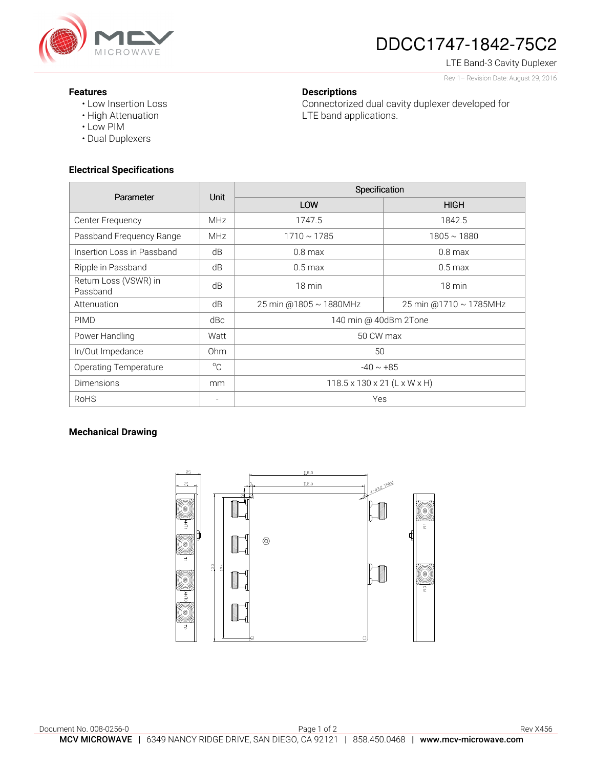

# DDCC1747-1842-75C2

Connectorized dual cavity duplexer developed for

LTE Band-3 Cavity Duplexer Rev 1– Revision Date: August 29, 2016

#### **Features**

- Low Insertion Loss
- High Attenuation
- Low PIM
- Dual Duplexers

## **Electrical Specifications**

| Parameter                         | <b>Unit</b>     | Specification                            |                        |
|-----------------------------------|-----------------|------------------------------------------|------------------------|
|                                   |                 | LOW                                      | <b>HIGH</b>            |
| Center Frequency                  | MHz             | 1747.5                                   | 1842.5                 |
| Passband Frequency Range          | <b>MHz</b>      | $1710 \sim 1785$                         | $1805 \sim 1880$       |
| Insertion Loss in Passband        | dB              | $0.8$ max                                | $0.8$ max              |
| Ripple in Passband                | dB              | $0.5 \,\mathrm{max}$                     | $0.5 \,\mathrm{max}$   |
| Return Loss (VSWR) in<br>Passband | dB              | $18 \text{ min}$                         | $18 \text{ min}$       |
| Attenuation                       | dB              | 25 min @1805 ~ 1880MHz                   | 25 min @1710 ~ 1785MHz |
| <b>PIMD</b>                       | dBc             | 140 min @ 40dBm 2Tone                    |                        |
| Power Handling                    | Watt            | 50 CW max                                |                        |
| In/Out Impedance                  | 0 <sub>hm</sub> | 50                                       |                        |
| <b>Operating Temperature</b>      | $^{\circ}$ C    | $-40 \sim +85$                           |                        |
| <b>Dimensions</b>                 | mm              | $118.5 \times 130 \times 21$ (L x W x H) |                        |
| <b>RoHS</b>                       |                 | Yes                                      |                        |

**Descriptions** 

LTE band applications.

## **Mechanical Drawing**